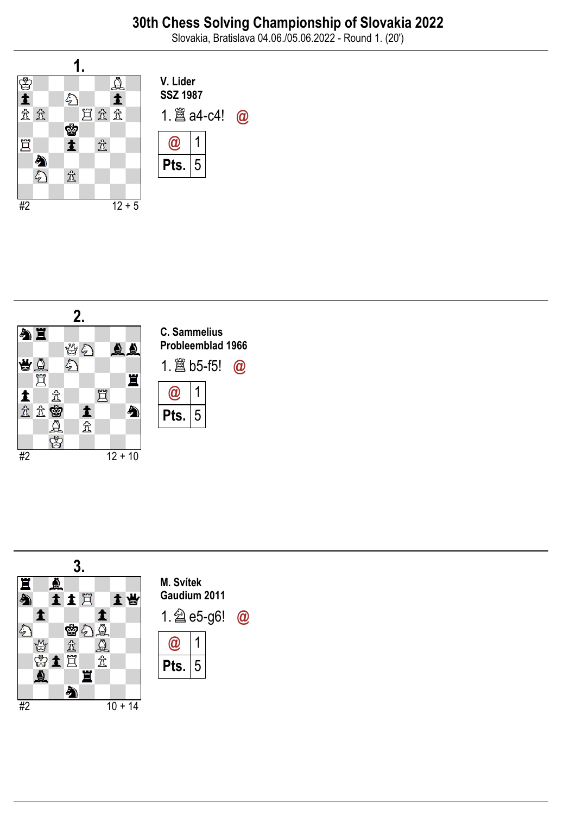Slovakia, Bratislava 04.06./05.06.2022 - Round 1. (20')





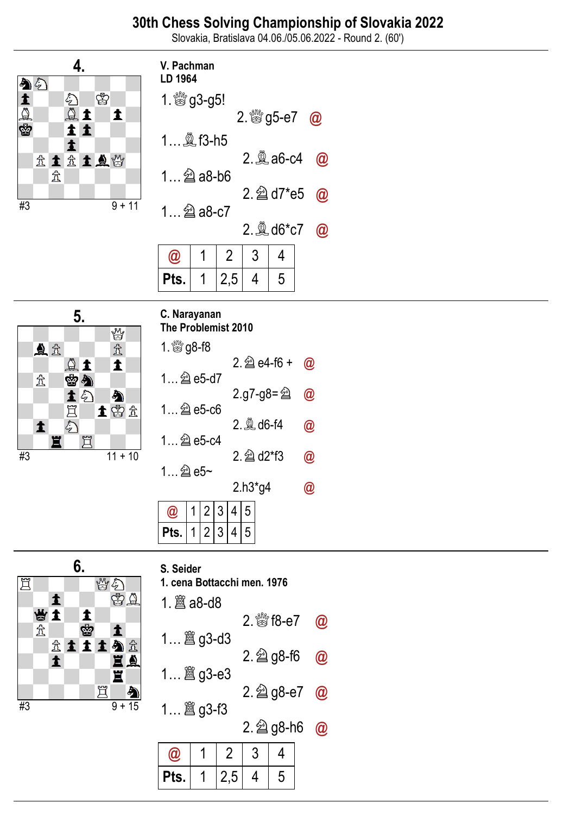# 30th Chess Solving Championship of Slovakia 2022

Slovakia, Bratislava 04.06./05.06.2022 - Round 2. (60')





| S. Seider |  |
|-----------|--|
|           |  |

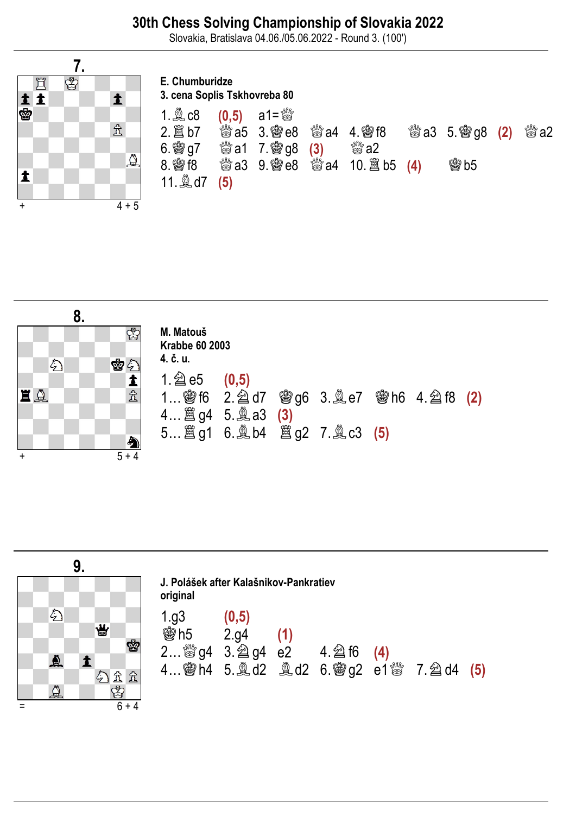### 30th Chess Solving Championship of Slovakia 2022

Slovakia, Bratislava 04.06./05.06.2022 - Round 3. (100')



#### E. Chumburidze 3. cena Soplis Tskhovreba 80

| $1.$ $@$ $c8$ |     | $(0,5)$ a1= $\frac{80}{60}$                     |                              |                                               |                     |
|---------------|-----|-------------------------------------------------|------------------------------|-----------------------------------------------|---------------------|
| 2. 2 b7       |     | <b>鬱a5 3. 竇e8</b>                               | <b>鬱a4 4. 會f8</b>            | $\frac{300}{600}$ a3 5. $\frac{600}{300}$ (2) | $\mathbb{S}^{M}$ a2 |
| $6.$ 鬱 g7     |     | $\frac{30}{100}$ a1 7. $\frac{100}{100}$ g8 (3) | $\stackrel{600}{\approx} a2$ |                                               |                     |
| 8. 窗 f8       |     | <b>鬱a3 9. 竇e8</b>                               |                              | <b>魯b5</b>                                    |                     |
|               | (5) |                                                 |                              |                                               |                     |
|               |     |                                                 |                              |                                               |                     |



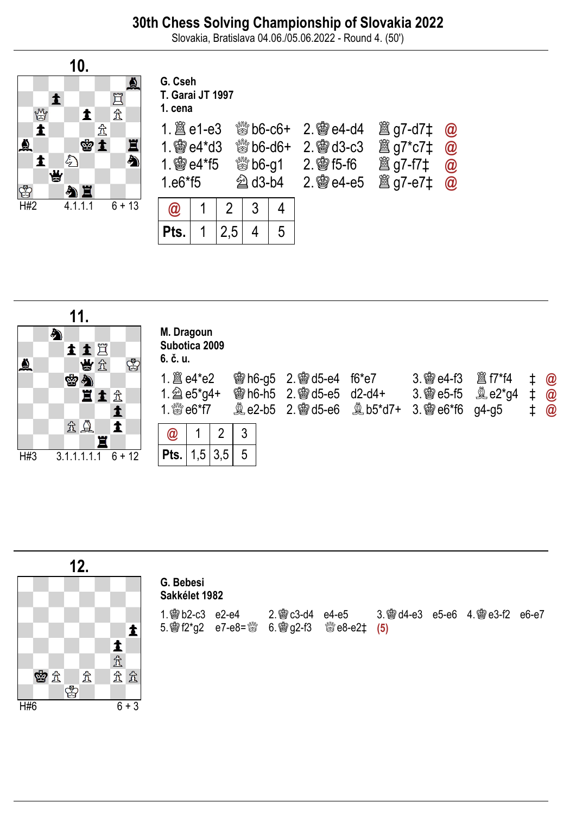## 30th Chess Solving Championship of Slovakia 2022

Slovakia, Bratislava 04.06./05.06.2022 - Round 4. (50')



|          | 11.                                                    |                                                                                                                                                |  |
|----------|--------------------------------------------------------|------------------------------------------------------------------------------------------------------------------------------------------------|--|
| $\Delta$ | ♠<br>土土耳<br>$\mathfrak{B}$<br>当立                       | M. Dragoun<br>Subotica 2009<br>6. č. u.                                                                                                        |  |
|          | 密匀<br>直主金                                              | 彎h6-g5 2. 彎 d5-e4 f6*e7<br>$\quad 1 \quad \omega$<br><b>會h6-h5</b> 2. 會d5-e5 d2-d4+ 3. 曾e5-f5 <b>奧e2*g4</b> ‡ @<br>$\frac{1}{2}$ $\frac{1}{2}$ |  |
| H#3      | 立皇<br>$\blacktriangle$<br>罝<br>3.1.1.1.1.1<br>$6 + 12$ | 3<br>$\overline{2}$<br>@<br>5<br>1,5<br>3,5<br>Pts.                                                                                            |  |

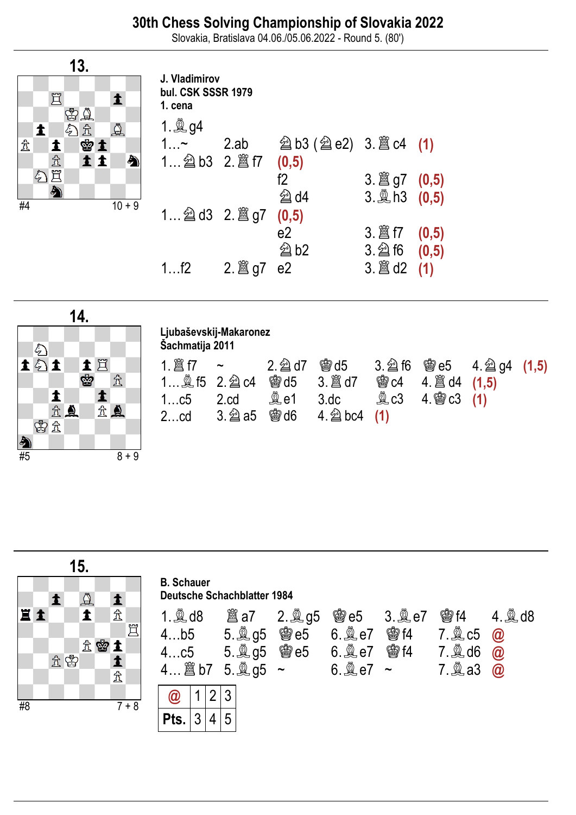Slovakia, Bratislava 04.06./05.06.2022 - Round 5. (80')



| J. Vladimirov<br>bul. CSK SSSR 1979<br>1. cena |      |                                |                     |       |
|------------------------------------------------|------|--------------------------------|---------------------|-------|
| 1. <b>Q</b> $g4$                               |      |                                |                     |       |
| $1$ ~                                          | 2.ab | <b>② b3 (② e2) 3. ③ c4 (1)</b> |                     |       |
|                                                |      | (0,5)                          |                     |       |
|                                                |      | f2                             |                     |       |
|                                                |      | @d4                            | $3.$ $\&$ h 3 (0.5) |       |
|                                                |      | (0,5)                          |                     |       |
|                                                |      | e2                             |                     | (0,5) |
|                                                |      | @b2                            | $3.\n  2\n  16$     | (0,5) |
| 1f2                                            |      | e <sub>2</sub>                 |                     | (1)   |



### Ljubaševskij-Makaronez

Šachmatija 2011

| 15.                         | B. Schauer                                       |                                                             |                                                             |                                          |                                          |                                          |                                          |                                          |
|-----------------------------|--------------------------------------------------|-------------------------------------------------------------|-------------------------------------------------------------|------------------------------------------|------------------------------------------|------------------------------------------|------------------------------------------|------------------------------------------|
| <b>1</b> $\hat{\mathbb{I}}$ | <b>1</b> . $\hat{\mathbb{I}}$ $\hat{\mathbb{I}}$ | 1. $\hat{\mathbb{I}}$ $\hat{\mathbb{I}}$                    | 2. $\hat{\mathbb{I}}$ $\hat{\mathbb{I}}$                    | 3. $\hat{\mathbb{I}}$ $\hat{\mathbb{I}}$ | 4... $\hat{\mathbb{I}}$                  | 5. $\hat{\mathbb{I}}$ $\hat{\mathbb{I}}$ | 6. $\hat{\mathbb{I}}$ $\hat{\mathbb{I}}$ | 7. $\hat{\mathbb{I}}$ $\hat{\mathbb{I}}$ |
| $\hat{\mathbb{I}}$          | <b>2</b>                                         | 4... $\hat{\mathbb{I}}$                                     | 5. $\hat{\mathbb{I}}$ $\hat{\mathbb{I}}$ $\hat{\mathbb{I}}$ | 6. $\hat{\mathbb{I}}$ $\hat{\mathbb{I}}$ | 7. $\hat{\mathbb{I}}$ $\hat{\mathbb{I}}$ |                                          |                                          |                                          |
| $\hat{\mathbb{I}}$          | 4... $\hat{\mathbb{I}}$                          | 5. $\hat{\mathbb{I}}$ $\hat{\mathbb{I}}$ $\hat{\mathbb{I}}$ | 6. $\hat{\mathbb{I}}$ $\hat{\mathbb{I}}$                    | 7. $\hat{\mathbb{I}}$ $\hat{\mathbb{I}}$ |                                          |                                          |                                          |                                          |
| $\hat{\mathbb{I}}$          | 4... $\hat{\mathbb{I}}$ $\hat{\mathbb{I}}$       | 7. $\hat{\mathbb{I}}$ $\hat{\mathbb{I}}$                    | 4... $\hat{\mathbb{I}}$ $\hat{\mathbb{I}}$                  | 7. $\hat{\mathbb{I}}$ $\hat{\mathbb{I}}$ |                                          |                                          |                                          |                                          |
| $\mathbb{I}$                |                                                  |                                                             |                                                             |                                          |                                          |                                          |                                          |                                          |